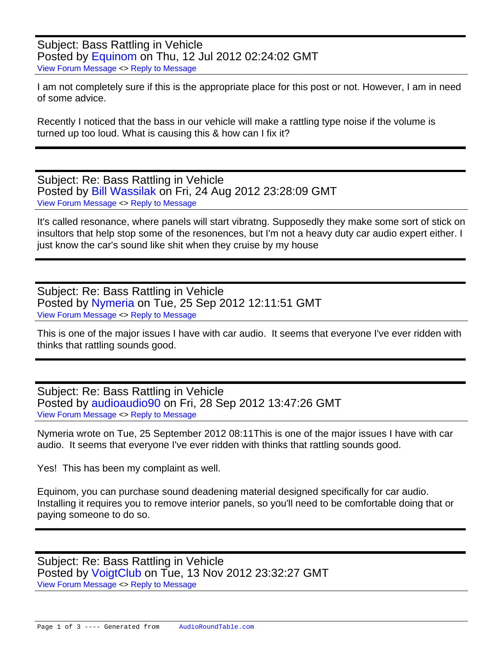Subject: Bass Rattling in Vehicle Posted by [Equinom](https://audioroundtable.com/forum/index.php?t=usrinfo&id=3848) on Thu, 12 Jul 2012 02:24:02 GMT [View Forum Message](https://audioroundtable.com/forum/index.php?t=rview&th=17591&goto=73252#msg_73252) <> [Reply to Message](https://audioroundtable.com/forum/index.php?t=post&reply_to=73252)

I am not completely sure if this is the appropriate place for this post or not. However, I am in need of some advice.

Recently I noticed that the bass in our vehicle will make a rattling type noise if the volume is turned up too loud. What is causing this & how can I fix it?

Subject: Re: Bass Rattling in Vehicle Posted by [Bill Wassilak](https://audioroundtable.com/forum/index.php?t=usrinfo&id=50) on Fri, 24 Aug 2012 23:28:09 GMT [View Forum Message](https://audioroundtable.com/forum/index.php?t=rview&th=17591&goto=73655#msg_73655) <> [Reply to Message](https://audioroundtable.com/forum/index.php?t=post&reply_to=73655)

It's called resonance, where panels will start vibratng. Supposedly they make some sort of stick on insultors that help stop some of the resonences, but I'm not a heavy duty car audio expert either. I just know the car's sound like shit when they cruise by my house

Subject: Re: Bass Rattling in Vehicle Posted by [Nymeria](https://audioroundtable.com/forum/index.php?t=usrinfo&id=4180) on Tue, 25 Sep 2012 12:11:51 GMT [View Forum Message](https://audioroundtable.com/forum/index.php?t=rview&th=17591&goto=73945#msg_73945) <> [Reply to Message](https://audioroundtable.com/forum/index.php?t=post&reply_to=73945)

This is one of the major issues I have with car audio. It seems that everyone I've ever ridden with thinks that rattling sounds good.

Subject: Re: Bass Rattling in Vehicle Posted by [audioaudio90](https://audioroundtable.com/forum/index.php?t=usrinfo&id=3933) on Fri, 28 Sep 2012 13:47:26 GMT [View Forum Message](https://audioroundtable.com/forum/index.php?t=rview&th=17591&goto=73989#msg_73989) <> [Reply to Message](https://audioroundtable.com/forum/index.php?t=post&reply_to=73989)

Nymeria wrote on Tue, 25 September 2012 08:11This is one of the major issues I have with car audio. It seems that everyone I've ever ridden with thinks that rattling sounds good.

Yes! This has been my complaint as well.

Equinom, you can purchase sound deadening material designed specifically for car audio. Installing it requires you to remove interior panels, so you'll need to be comfortable doing that or paying someone to do so.

Subject: Re: Bass Rattling in Vehicle Posted by [VoigtClub](https://audioroundtable.com/forum/index.php?t=usrinfo&id=4970) on Tue, 13 Nov 2012 23:32:27 GMT [View Forum Message](https://audioroundtable.com/forum/index.php?t=rview&th=17591&goto=74465#msg_74465) <> [Reply to Message](https://audioroundtable.com/forum/index.php?t=post&reply_to=74465)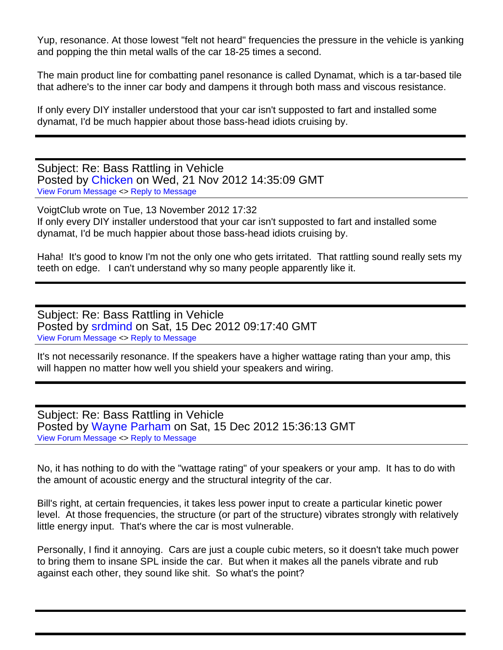Yup, resonance. At those lowest "felt not heard" frequencies the pressure in the vehicle is yanking and popping the thin metal walls of the car 18-25 times a second.

The main product line for combatting panel resonance is called Dynamat, which is a tar-based tile that adhere's to the inner car body and dampens it through both mass and viscous resistance.

If only every DIY installer understood that your car isn't supposted to fart and installed some dynamat, I'd be much happier about those bass-head idiots cruising by.

Subject: Re: Bass Rattling in Vehicle Posted by [Chicken](https://audioroundtable.com/forum/index.php?t=usrinfo&id=4330) on Wed, 21 Nov 2012 14:35:09 GMT [View Forum Message](https://audioroundtable.com/forum/index.php?t=rview&th=17591&goto=74525#msg_74525) <> [Reply to Message](https://audioroundtable.com/forum/index.php?t=post&reply_to=74525)

VoigtClub wrote on Tue, 13 November 2012 17:32 If only every DIY installer understood that your car isn't supposted to fart and installed some dynamat, I'd be much happier about those bass-head idiots cruising by.

Haha! It's good to know I'm not the only one who gets irritated. That rattling sound really sets my teeth on edge. I can't understand why so many people apparently like it.

Subject: Re: Bass Rattling in Vehicle Posted by [srdmind](https://audioroundtable.com/forum/index.php?t=usrinfo&id=5052) on Sat, 15 Dec 2012 09:17:40 GMT [View Forum Message](https://audioroundtable.com/forum/index.php?t=rview&th=17591&goto=74950#msg_74950) <> [Reply to Message](https://audioroundtable.com/forum/index.php?t=post&reply_to=74950)

It's not necessarily resonance. If the speakers have a higher wattage rating than your amp, this will happen no matter how well you shield your speakers and wiring.

Subject: Re: Bass Rattling in Vehicle Posted by [Wayne Parham](https://audioroundtable.com/forum/index.php?t=usrinfo&id=5) on Sat, 15 Dec 2012 15:36:13 GMT [View Forum Message](https://audioroundtable.com/forum/index.php?t=rview&th=17591&goto=74953#msg_74953) <> [Reply to Message](https://audioroundtable.com/forum/index.php?t=post&reply_to=74953)

No, it has nothing to do with the "wattage rating" of your speakers or your amp. It has to do with the amount of acoustic energy and the structural integrity of the car.

Bill's right, at certain frequencies, it takes less power input to create a particular kinetic power level. At those frequencies, the structure (or part of the structure) vibrates strongly with relatively little energy input. That's where the car is most vulnerable.

Personally, I find it annoying. Cars are just a couple cubic meters, so it doesn't take much power to bring them to insane SPL inside the car. But when it makes all the panels vibrate and rub against each other, they sound like shit. So what's the point?